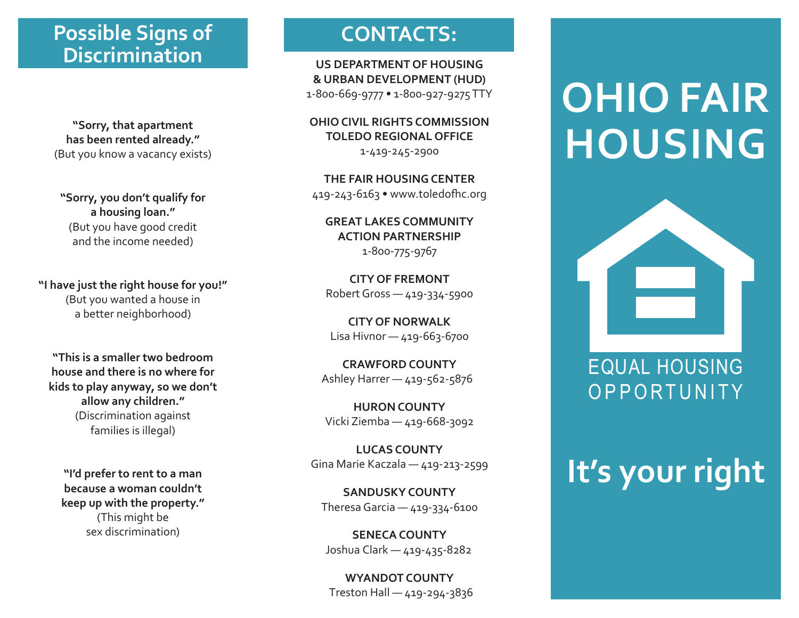# **Possible Signs of CONTACTS: Discrimination**

**"Sorry, that apartment has been rented already."** (But you know a vacancy exists)

**"Sorry, you don't qualify for a housing loan."** (But you have good credit and the income needed)

**"I have just the right house for you!"** (But you wanted a house in a better neighborhood)

**"This is a smaller two bedroom house and there is no where for kids to play anyway, so we don't allow any children."** (Discrimination against families is illegal)

**"I'd prefer to rent to a man because a woman couldn't keep up with the property."** (This might be sex discrimination)

**US DEPARTMENT OF HOUSING & URBAN DEVELOPMENT (HUD)** 1-800-669-9777 • 1-800-927-9275 TTY

**OHIO CIVIL RIGHTS COMMISSION TOLEDO REGIONAL OFFICE**

1-419-245-2900

**THE FAIR HOUSING CENTER** 419-243-6163 • www.toledofhc.org

**GREAT LAKES COMMUNITY ACTION PARTNERSHIP** 1-800-775-9767

**CITY OF FREMONT**  Robert Gross — 419-334-5900

**CITY OF NORWALK** Lisa Hivnor — 419-663-6700

**CRAWFORD COUNTY** Ashley Harrer — 419-562-5876

**HURON COUNTY** Vicki Ziemba — 419-668-3092

**LUCAS COUNTY**  Gina Marie Kaczala — 419-213-2599

**SANDUSKY COUNTY**  Theresa Garcia — 419-334-6100

**SENECA COUNTY** Joshua Clark — 419-435-8282

**WYANDOT COUNTY**  Treston Hall — 419-294-3836

# **OHIO FAIR HOUSING**



# **It's your right**